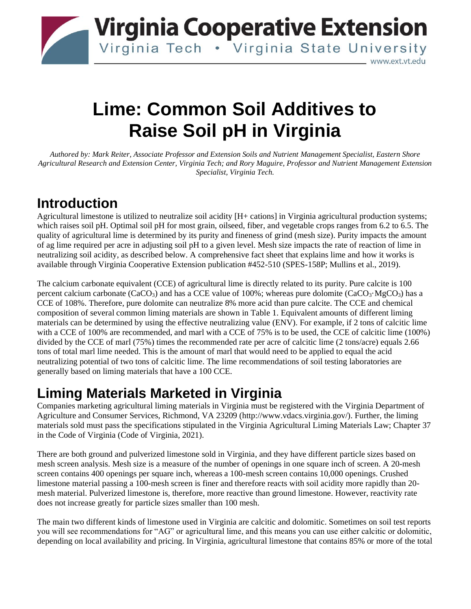

# **Lime: Common Soil Additives to Raise Soil pH in Virginia**

*Authored by: Mark Reiter, Associate Professor and Extension Soils and Nutrient Management Specialist, Eastern Shore Agricultural Research and Extension Center, Virginia Tech; and Rory Maguire, Professor and Nutrient Management Extension Specialist, Virginia Tech.*

#### **Introduction**

Agricultural limestone is utilized to neutralize soil acidity [H+ cations] in Virginia agricultural production systems; which raises soil pH. Optimal soil pH for most grain, oilseed, fiber, and vegetable crops ranges from 6.2 to 6.5. The quality of agricultural lime is determined by its purity and fineness of grind (mesh size). Purity impacts the amount of ag lime required per acre in adjusting soil pH to a given level. Mesh size impacts the rate of reaction of lime in neutralizing soil acidity, as described below. A comprehensive fact sheet that explains lime and how it works is available through Virginia Cooperative Extension publication #452-510 (SPES-158P; Mullins et al., 2019).

The calcium carbonate equivalent (CCE) of agricultural lime is directly related to its purity. Pure calcite is 100 percent calcium carbonate (CaCO<sub>3</sub>) and has a CCE value of 100%; whereas pure dolomite (CaCO<sub>3</sub>·MgCO<sub>3</sub>) has a CCE of 108%. Therefore, pure dolomite can neutralize 8% more acid than pure calcite. The CCE and chemical composition of several common liming materials are shown in Table 1. Equivalent amounts of different liming materials can be determined by using the effective neutralizing value (ENV). For example, if 2 tons of calcitic lime with a CCE of 100% are recommended, and marl with a CCE of 75% is to be used, the CCE of calcitic lime (100%) divided by the CCE of marl (75%) times the recommended rate per acre of calcitic lime (2 tons/acre) equals 2.66 tons of total marl lime needed. This is the amount of marl that would need to be applied to equal the acid neutralizing potential of two tons of calcitic lime. The lime recommendations of soil testing laboratories are generally based on liming materials that have a 100 CCE.

# **Liming Materials Marketed in Virginia**

Companies marketing agricultural liming materials in Virginia must be registered with the Virginia Department of Agriculture and Consumer Services, Richmond, VA 23209 (http://www.vdacs.virginia.gov/). Further, the liming materials sold must pass the specifications stipulated in the Virginia Agricultural Liming Materials Law; Chapter 37 in the Code of Virginia (Code of Virginia, 2021).

There are both ground and pulverized limestone sold in Virginia, and they have different particle sizes based on mesh screen analysis. Mesh size is a measure of the number of openings in one square inch of screen. A 20-mesh screen contains 400 openings per square inch, whereas a 100-mesh screen contains 10,000 openings. Crushed limestone material passing a 100-mesh screen is finer and therefore reacts with soil acidity more rapidly than 20 mesh material. Pulverized limestone is, therefore, more reactive than ground limestone. However, reactivity rate does not increase greatly for particle sizes smaller than 100 mesh.

The main two different kinds of limestone used in Virginia are calcitic and dolomitic. Sometimes on soil test reports you will see recommendations for "AG" or agricultural lime, and this means you can use either calcitic or dolomitic, depending on local availability and pricing. In Virginia, agricultural limestone that contains 85% or more of the total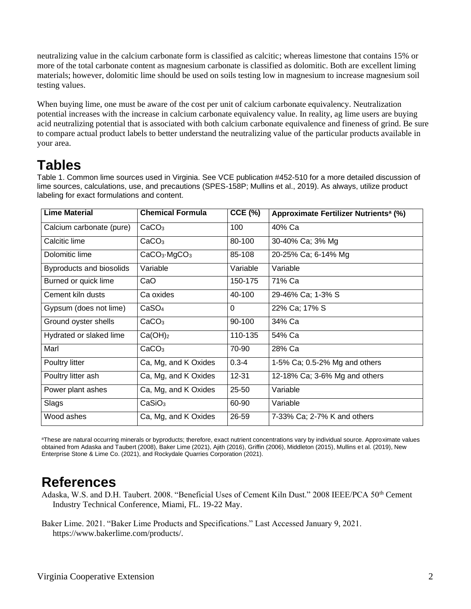neutralizing value in the calcium carbonate form is classified as calcitic; whereas limestone that contains 15% or more of the total carbonate content as magnesium carbonate is classified as dolomitic. Both are excellent liming materials; however, dolomitic lime should be used on soils testing low in magnesium to increase magnesium soil testing values.

When buying lime, one must be aware of the cost per unit of calcium carbonate equivalency. Neutralization potential increases with the increase in calcium carbonate equivalency value. In reality, ag lime users are buying acid neutralizing potential that is associated with both calcium carbonate equivalence and fineness of grind. Be sure to compare actual product labels to better understand the neutralizing value of the particular products available in your area.

### **Tables**

Table 1. Common lime sources used in Virginia. See VCE publication #452-510 for a more detailed discussion of lime sources, calculations, use, and precautions (SPES-158P; Mullins et al., 2019). As always, utilize product labeling for exact formulations and content.

| <b>Lime Material</b>     | <b>Chemical Formula</b>              | $CCE$ (%) | Approximate Fertilizer Nutrients <sup>a</sup> (%) |
|--------------------------|--------------------------------------|-----------|---------------------------------------------------|
| Calcium carbonate (pure) | CaCO <sub>3</sub>                    | 100       | 40% Ca                                            |
| Calcitic lime            | CaCO <sub>3</sub>                    | 80-100    | 30-40% Ca; 3% Mg                                  |
| Dolomitic lime           | CaCO <sub>3</sub> ·MgCO <sub>3</sub> | 85-108    | 20-25% Ca; 6-14% Mg                               |
| Byproducts and biosolids | Variable                             | Variable  | Variable                                          |
| Burned or quick lime     | CaO                                  | 150-175   | 71% Ca                                            |
| Cement kiln dusts        | Ca oxides                            | 40-100    | 29-46% Ca; 1-3% S                                 |
| Gypsum (does not lime)   | CaSO <sub>4</sub>                    | $\Omega$  | 22% Ca; 17% S                                     |
| Ground oyster shells     | CaCO <sub>3</sub>                    | 90-100    | 34% Ca                                            |
| Hydrated or slaked lime  | Ca(OH) <sub>2</sub>                  | 110-135   | 54% Ca                                            |
| Marl                     | CaCO <sub>3</sub>                    | 70-90     | 28% Ca                                            |
| Poultry litter           | Ca, Mg, and K Oxides                 | $0.3 - 4$ | 1-5% Ca; 0.5-2% Mg and others                     |
| Poultry litter ash       | Ca, Mg, and K Oxides                 | $12 - 31$ | 12-18% Ca; 3-6% Mg and others                     |
| Power plant ashes        | Ca, Mg, and K Oxides                 | 25-50     | Variable                                          |
| Slags                    | CaSiO <sub>3</sub>                   | 60-90     | Variable                                          |
| Wood ashes               | Ca, Mg, and K Oxides                 | 26-59     | 7-33% Ca; 2-7% K and others                       |

aThese are natural occurring minerals or byproducts; therefore, exact nutrient concentrations vary by individual source. Approximate values obtained from Adaska and Taubert (2008), Baker Lime (2021), Ajith (2016), Griffin (2006), Middleton (2015), Mullins et al. (2019), New Enterprise Stone & Lime Co. (2021), and Rockydale Quarries Corporation (2021).

### **References**

- Adaska, W.S. and D.H. Taubert. 2008. "Beneficial Uses of Cement Kiln Dust." 2008 IEEE/PCA 50<sup>th</sup> Cement Industry Technical Conference, Miami, FL. 19-22 May.
- Baker Lime. 2021. "Baker Lime Products and Specifications." Last Accessed January 9, 2021. [https://www.bakerlime.com/products/.](https://www.bakerlime.com/products/)